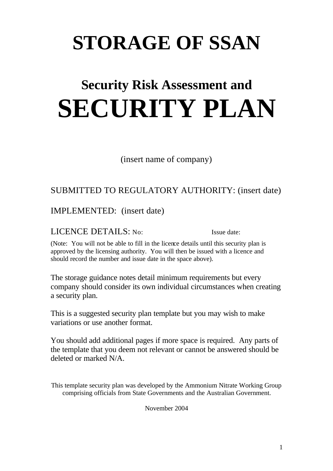# **STORAGE OF SSAN**

# **Security Risk Assessment and SECURITY PLAN**

(insert name of company)

## SUBMITTED TO REGULATORY AUTHORITY: (insert date)

IMPLEMENTED: (insert date)

LICENCE DETAILS: No: Issue date:

(Note: You will not be able to fill in the licence details until this security plan is approved by the licensing authority. You will then be issued with a licence and should record the number and issue date in the space above).

The storage guidance notes detail minimum requirements but every company should consider its own individual circumstances when creating a security plan.

This is a suggested security plan template but you may wish to make variations or use another format.

You should add additional pages if more space is required. Any parts of the template that you deem not relevant or cannot be answered should be deleted or marked N/A.

This template security plan was developed by the Ammonium Nitrate Working Group comprising officials from State Governments and the Australian Government.

November 2004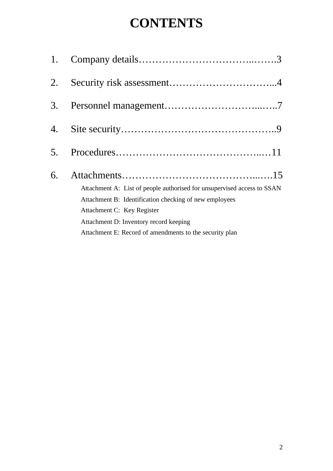# **CONTENTS**

| 1. |                                                                         |
|----|-------------------------------------------------------------------------|
| 2. |                                                                         |
| 3. |                                                                         |
| 4. |                                                                         |
| 5. |                                                                         |
| 6. |                                                                         |
|    | Attachment A: List of people authorised for unsupervised access to SSAN |
|    | Attachment B: Identification checking of new employees                  |
|    | Attachment C: Key Register                                              |
|    | Attachment D: Inventory record keeping                                  |
|    | Attachment E: Record of amendments to the security plan                 |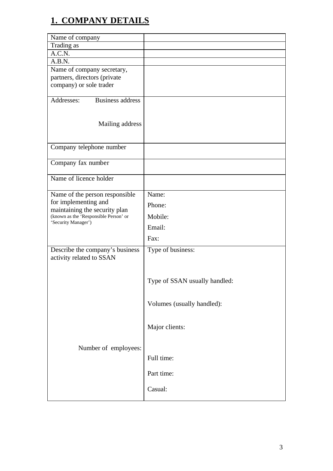# **1. COMPANY DETAILS**

| Name of company                                                        |                               |
|------------------------------------------------------------------------|-------------------------------|
| Trading as                                                             |                               |
| A.C.N.                                                                 |                               |
| A.B.N.                                                                 |                               |
| Name of company secretary,                                             |                               |
| partners, directors (private                                           |                               |
| company) or sole trader                                                |                               |
| Business address<br>Addresses:                                         |                               |
|                                                                        |                               |
| Mailing address                                                        |                               |
|                                                                        |                               |
| Company telephone number                                               |                               |
|                                                                        |                               |
| Company fax number                                                     |                               |
| Name of licence holder                                                 |                               |
| Name of the person responsible                                         | Name:                         |
| for implementing and                                                   | Phone:                        |
| maintaining the security plan<br>(known as the 'Responsible Person' or | Mobile:                       |
| 'Security Manager')                                                    | Email:                        |
|                                                                        | Fax:                          |
| Describe the company's business                                        | Type of business:             |
| activity related to SSAN                                               |                               |
|                                                                        |                               |
|                                                                        | Type of SSAN usually handled: |
|                                                                        |                               |
|                                                                        | Volumes (usually handled):    |
|                                                                        | Major clients:                |
|                                                                        |                               |
| Number of employees:                                                   |                               |
|                                                                        | Full time:                    |
|                                                                        | Part time:                    |
|                                                                        |                               |
|                                                                        | Casual:                       |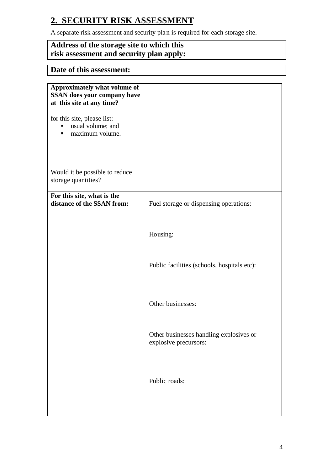## **2. SECURITY RISK ASSESSMENT**

A separate risk assessment and security plan is required for each storage site.

## **Address of the storage site to which this risk assessment and security plan apply:**

## **Date of this assessment:**

| Approximately what volume of<br><b>SSAN</b> does your company have<br>at this site at any time? |                                                                  |
|-------------------------------------------------------------------------------------------------|------------------------------------------------------------------|
| for this site, please list:<br>usual volume; and<br>maximum volume.                             |                                                                  |
| Would it be possible to reduce<br>storage quantities?                                           |                                                                  |
| For this site, what is the<br>distance of the SSAN from:                                        | Fuel storage or dispensing operations:                           |
|                                                                                                 | Housing:                                                         |
|                                                                                                 | Public facilities (schools, hospitals etc):                      |
|                                                                                                 | Other businesses:                                                |
|                                                                                                 | Other businesses handling explosives or<br>explosive precursors: |
|                                                                                                 | Public roads:                                                    |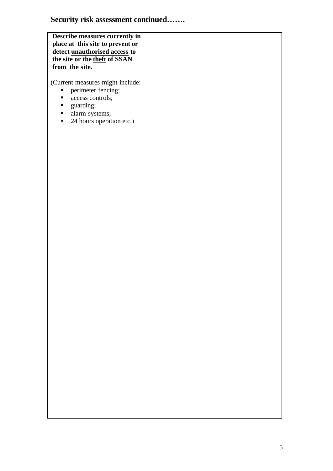## **Security risk assessment continued…….**

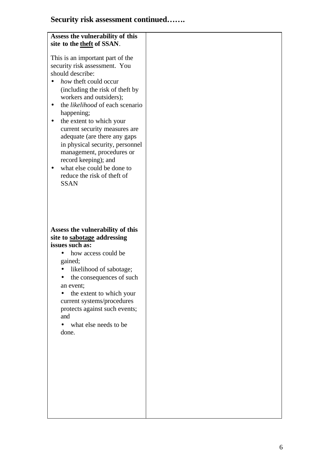# **Security risk assessment continued…….**

| Assess the vulnerability of this<br>site to the theft of SSAN.                                                                                                                                                                                                                                                                                                                                                                                                                                        |  |
|-------------------------------------------------------------------------------------------------------------------------------------------------------------------------------------------------------------------------------------------------------------------------------------------------------------------------------------------------------------------------------------------------------------------------------------------------------------------------------------------------------|--|
| This is an important part of the<br>security risk assessment. You<br>should describe:<br>how theft could occur<br>(including the risk of theft by<br>workers and outsiders);<br>the <i>likelihood</i> of each scenario<br>happening;<br>the extent to which your<br>current security measures are<br>adequate (are there any gaps<br>in physical security, personnel<br>management, procedures or<br>record keeping); and<br>what else could be done to<br>reduce the risk of theft of<br><b>SSAN</b> |  |
| Assess the vulnerability of this<br>site to sabotage addressing<br>issues such as:<br>how access could be<br>gained;<br>likelihood of sabotage;<br>the consequences of such<br>an event;<br>the extent to which your<br>current systems/procedures<br>protects against such events;<br>and<br>what else needs to be<br>done.                                                                                                                                                                          |  |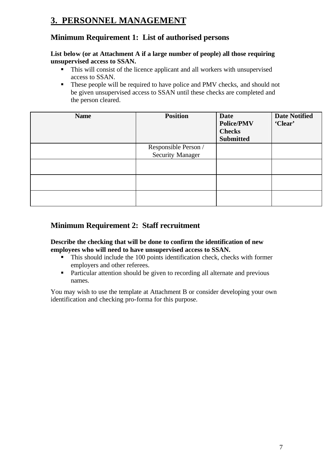## **3. PERSONNEL MANAGEMENT**

## **Minimum Requirement 1: List of authorised persons**

#### **List below (or at Attachment A if a large number of people) all those requiring unsupervised access to SSAN.**

- ß This will consist of the licence applicant and all workers with unsupervised access to SSAN.
- These people will be required to have police and PMV checks, and should not be given unsupervised access to SSAN until these checks are completed and the person cleared.

| <b>Name</b> | <b>Position</b>                          | <b>Date</b><br><b>Police/PMV</b><br><b>Checks</b><br><b>Submitted</b> | <b>Date Notified</b><br>'Clear' |
|-------------|------------------------------------------|-----------------------------------------------------------------------|---------------------------------|
|             | Responsible Person /<br>Security Manager |                                                                       |                                 |
|             |                                          |                                                                       |                                 |
|             |                                          |                                                                       |                                 |
|             |                                          |                                                                       |                                 |

## **Minimum Requirement 2: Staff recruitment**

#### **Describe the checking that will be done to confirm the identification of new employees who will need to have unsupervised access to SSAN.**

- This should include the 100 points identification check, checks with former employers and other referees.
- **•** Particular attention should be given to recording all alternate and previous names.

You may wish to use the template at Attachment B or consider developing your own identification and checking pro-forma for this purpose.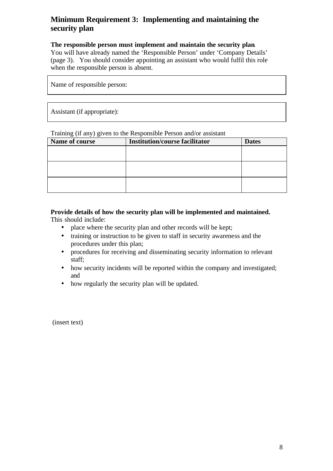## **Minimum Requirement 3: Implementing and maintaining the security plan**

#### **The responsible person must implement and maintain the security plan**.

You will have already named the 'Responsible Person' under 'Company Details' (page 3). You should consider appointing an assistant who would fulfil this role when the responsible person is absent.

Name of responsible person:

Assistant (if appropriate):

Training (if any) given to the Responsible Person and/or assistant

| Name of course | <b>Institution/course facilitator</b> | <b>Dates</b> |
|----------------|---------------------------------------|--------------|
|                |                                       |              |
|                |                                       |              |
|                |                                       |              |
|                |                                       |              |
|                |                                       |              |
|                |                                       |              |

**Provide details of how the security plan will be implemented and maintained.** This should include:

- place where the security plan and other records will be kept;
- training or instruction to be given to staff in security awareness and the procedures under this plan;
- procedures for receiving and disseminating security information to relevant staff;
- how security incidents will be reported within the company and investigated; and
- how regularly the security plan will be updated.

(insert text)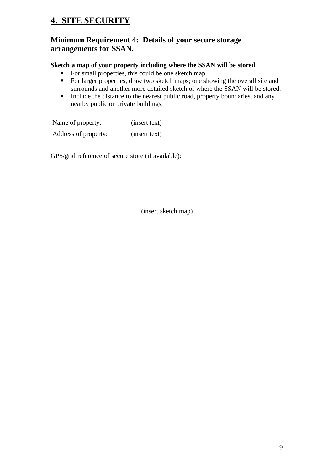## **4. SITE SECURITY**

### **Minimum Requirement 4: Details of your secure storage arrangements for SSAN.**

#### **Sketch a map of your property including where the SSAN will be stored.**

- For small properties, this could be one sketch map.
- For larger properties, draw two sketch maps; one showing the overall site and surrounds and another more detailed sketch of where the SSAN will be stored.
- Include the distance to the nearest public road, property boundaries, and any nearby public or private buildings.

Name of property: (insert text) Address of property: (insert text)

GPS/grid reference of secure store (if available):

(insert sketch map)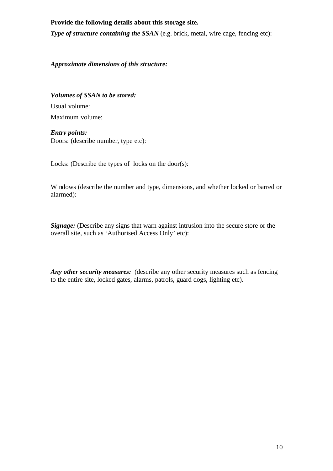#### **Provide the following details about this storage site.**

*Type of structure containing the SSAN* (e.g. brick, metal, wire cage, fencing etc):

*Approximate dimensions of this structure:*

*Volumes of SSAN to be stored:* Usual volume: Maximum volume:

*Entry points:* Doors: (describe number, type etc):

Locks: (Describe the types of locks on the door(s):

Windows (describe the number and type, dimensions, and whether locked or barred or alarmed):

**Signage:** (Describe any signs that warn against intrusion into the secure store or the overall site, such as 'Authorised Access Only' etc):

*Any other security measures:* (describe any other security measures such as fencing to the entire site, locked gates, alarms, patrols, guard dogs, lighting etc).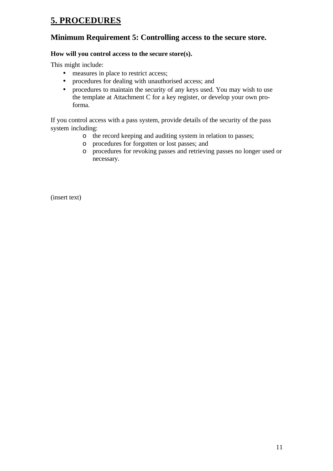## **5. PROCEDURES**

### **Minimum Requirement 5: Controlling access to the secure store.**

#### **How will you control access to the secure store(s).**

This might include:

- measures in place to restrict access;
- procedures for dealing with unauthorised access; and
- procedures to maintain the security of any keys used. You may wish to use the template at Attachment C for a key register, or develop your own proforma.

If you control access with a pass system, provide details of the security of the pass system including:

- o the record keeping and auditing system in relation to passes;
- o procedures for forgotten or lost passes; and
- o procedures for revoking passes and retrieving passes no longer used or necessary.

(insert text)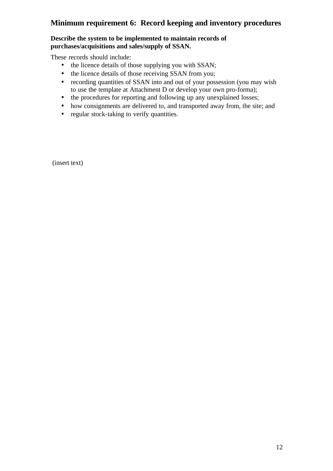## **Minimum requirement 6: Record keeping and inventory procedures**

#### **Describe the system to be implemented to maintain records of purchases/acquisitions and sales/supply of SSAN.**

These records should include:

- the licence details of those supplying you with SSAN;
- the licence details of those receiving SSAN from you;
- recording quantities of SSAN into and out of your possession (you may wish to use the template at Attachment D or develop your own pro-forma);
- the procedures for reporting and following up any unexplained losses;
- how consignments are delivered to, and transported away from, the site; and
- regular stock-taking to verify quantities.

(insert text)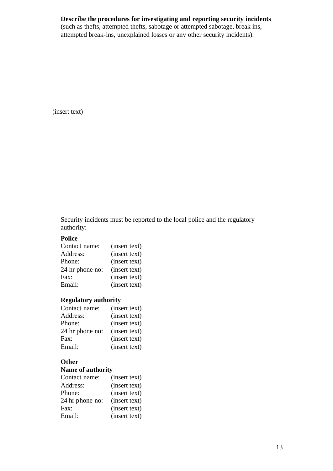#### **Describe the procedures for investigating and reporting security incidents**

(such as thefts, attempted thefts, sabotage or attempted sabotage, break ins, attempted break-ins, unexplained losses or any other security incidents).

(insert text)

Security incidents must be reported to the local police and the regulatory authority:

#### **Police**

| Contact name:   | (insert text) |
|-----------------|---------------|
| Address:        | (insert text) |
| Phone:          | (insert text) |
| 24 hr phone no: | (insert text) |
| Fax:            | (insert text) |
| Email:          | (insert text) |

#### **Regulatory authority**

| Contact name:   | (insert text) |
|-----------------|---------------|
| Address:        | (insert text) |
| Phone:          | (insert text) |
| 24 hr phone no: | (insert text) |
| Fax:            | (insert text) |
| Email:          | (insert text) |
|                 |               |

#### **Other**

#### **Name of authority**

| Contact name:   | (insert text) |
|-----------------|---------------|
| Address:        | (insert text) |
| Phone:          | (insert text) |
| 24 hr phone no: | (insert text) |
| Fax:            | (insert text) |
| Email:          | (insert text) |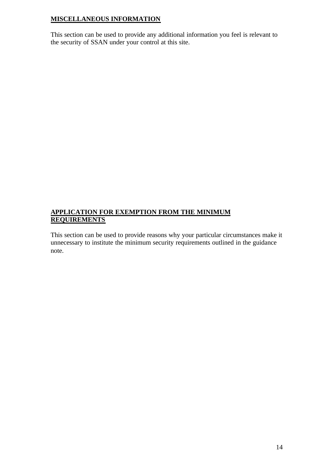#### **MISCELLANEOUS INFORMATION**

This section can be used to provide any additional information you feel is relevant to the security of SSAN under your control at this site.

#### **APPLICATION FOR EXEMPTION FROM THE MINIMUM REQUIREMENTS**

This section can be used to provide reasons why your particular circumstances make it unnecessary to institute the minimum security requirements outlined in the guidance note.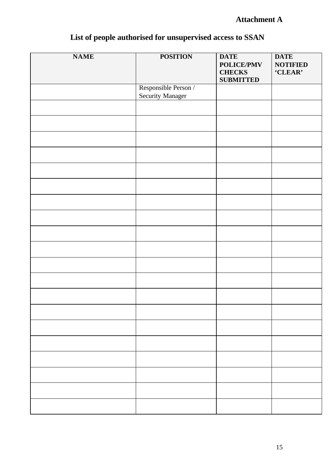## **Attachment A**

| <b>NAME</b> | <b>POSITION</b>         | <b>DATE</b>       | <b>DATE</b>     |
|-------------|-------------------------|-------------------|-----------------|
|             |                         |                   |                 |
|             |                         | <b>POLICE/PMV</b> | <b>NOTIFIED</b> |
|             |                         | <b>CHECKS</b>     | 'CLEAR'         |
|             |                         | <b>SUBMITTED</b>  |                 |
|             | Responsible Person /    |                   |                 |
|             | <b>Security Manager</b> |                   |                 |
|             |                         |                   |                 |
|             |                         |                   |                 |
|             |                         |                   |                 |
|             |                         |                   |                 |
|             |                         |                   |                 |
|             |                         |                   |                 |
|             |                         |                   |                 |
|             |                         |                   |                 |
|             |                         |                   |                 |
|             |                         |                   |                 |
|             |                         |                   |                 |
|             |                         |                   |                 |
|             |                         |                   |                 |
|             |                         |                   |                 |
|             |                         |                   |                 |
|             |                         |                   |                 |
|             |                         |                   |                 |
|             |                         |                   |                 |
|             |                         |                   |                 |
|             |                         |                   |                 |
|             |                         |                   |                 |
|             |                         |                   |                 |
|             |                         |                   |                 |
|             |                         |                   |                 |
|             |                         |                   |                 |
|             |                         |                   |                 |
|             |                         |                   |                 |
|             |                         |                   |                 |
|             |                         |                   |                 |
|             |                         |                   |                 |
|             |                         |                   |                 |
|             |                         |                   |                 |
|             |                         |                   |                 |
|             |                         |                   |                 |
|             |                         |                   |                 |
|             |                         |                   |                 |
|             |                         |                   |                 |
|             |                         |                   |                 |
|             |                         |                   |                 |
|             |                         |                   |                 |
|             |                         |                   |                 |
|             |                         |                   |                 |
|             |                         |                   |                 |
|             |                         |                   |                 |
|             |                         |                   |                 |
|             |                         |                   |                 |

# **List of people authorised for unsupervised access to SSAN**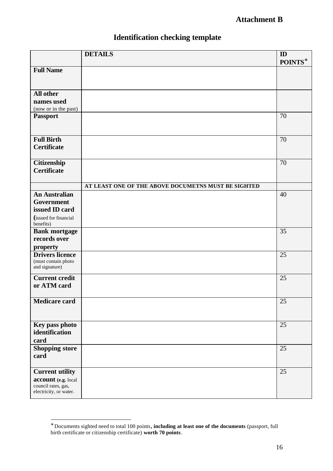## **Attachment B**

|                                               | <b>DETAILS</b>                                      | $\mathbf{ID}$<br>POINTS* |
|-----------------------------------------------|-----------------------------------------------------|--------------------------|
| <b>Full Name</b>                              |                                                     |                          |
|                                               |                                                     |                          |
| All other                                     |                                                     |                          |
| names used<br>(now or in the past)            |                                                     |                          |
| <b>Passport</b>                               |                                                     | 70                       |
|                                               |                                                     |                          |
| <b>Full Birth</b>                             |                                                     | 70                       |
| <b>Certificate</b>                            |                                                     |                          |
| Citizenship                                   |                                                     | 70                       |
| <b>Certificate</b>                            |                                                     |                          |
|                                               | AT LEAST ONE OF THE ABOVE DOCUMETNS MUST BE SIGHTED |                          |
| <b>An Australian</b>                          |                                                     | 40                       |
| Government<br>issued ID card                  |                                                     |                          |
| (issued for financial<br>benefits)            |                                                     |                          |
| <b>Bank mortgage</b>                          |                                                     | 35                       |
| records over                                  |                                                     |                          |
| property                                      |                                                     |                          |
| <b>Drivers licence</b><br>(must contain photo |                                                     | 25                       |
| and signature)                                |                                                     |                          |
| <b>Current credit</b><br>or ATM card          |                                                     | 25                       |
|                                               |                                                     |                          |
| <b>Medicare card</b>                          |                                                     | 25                       |
|                                               |                                                     |                          |
| Key pass photo                                |                                                     | 25                       |
| identification<br>card                        |                                                     |                          |
| <b>Shopping store</b>                         |                                                     | 25                       |
| card                                          |                                                     |                          |
| <b>Current utility</b>                        |                                                     | 25                       |
| account (e.g. local                           |                                                     |                          |
| council rates, gas,<br>electricity, or water. |                                                     |                          |
|                                               |                                                     |                          |

## **Identification checking template**

 ∗ Documents sighted need to total 100 points**, including at least one of the documents** (passport, full birth certificate or citizenship certificate) **worth 70 points**.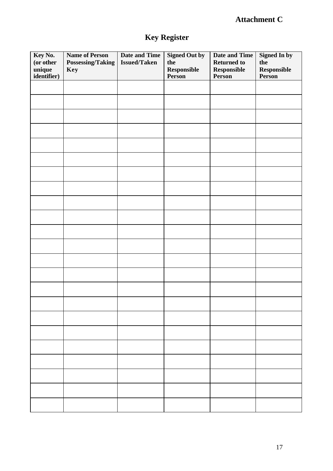## **Attachment C**

# **Key Register**

| Key No.<br>(or other<br>unique<br>identifier) | <b>Name of Person</b><br><b>Possessing/Taking</b><br>Key | <b>Date and Time</b><br><b>Issued/Taken</b> | <b>Signed Out by</b><br>the<br><b>Responsible</b><br>Person | <b>Date and Time</b><br><b>Returned to</b><br>Responsible<br>Person | <b>Signed In by</b><br>the<br><b>Responsible</b><br>Person |
|-----------------------------------------------|----------------------------------------------------------|---------------------------------------------|-------------------------------------------------------------|---------------------------------------------------------------------|------------------------------------------------------------|
|                                               |                                                          |                                             |                                                             |                                                                     |                                                            |
|                                               |                                                          |                                             |                                                             |                                                                     |                                                            |
|                                               |                                                          |                                             |                                                             |                                                                     |                                                            |
|                                               |                                                          |                                             |                                                             |                                                                     |                                                            |
|                                               |                                                          |                                             |                                                             |                                                                     |                                                            |
|                                               |                                                          |                                             |                                                             |                                                                     |                                                            |
|                                               |                                                          |                                             |                                                             |                                                                     |                                                            |
|                                               |                                                          |                                             |                                                             |                                                                     |                                                            |
|                                               |                                                          |                                             |                                                             |                                                                     |                                                            |
|                                               |                                                          |                                             |                                                             |                                                                     |                                                            |
|                                               |                                                          |                                             |                                                             |                                                                     |                                                            |
|                                               |                                                          |                                             |                                                             |                                                                     |                                                            |
|                                               |                                                          |                                             |                                                             |                                                                     |                                                            |
|                                               |                                                          |                                             |                                                             |                                                                     |                                                            |
|                                               |                                                          |                                             |                                                             |                                                                     |                                                            |
|                                               |                                                          |                                             |                                                             |                                                                     |                                                            |
|                                               |                                                          |                                             |                                                             |                                                                     |                                                            |
|                                               |                                                          |                                             |                                                             |                                                                     |                                                            |
|                                               |                                                          |                                             |                                                             |                                                                     |                                                            |
|                                               |                                                          |                                             |                                                             |                                                                     |                                                            |
|                                               |                                                          |                                             |                                                             |                                                                     |                                                            |
|                                               |                                                          |                                             |                                                             |                                                                     |                                                            |
|                                               |                                                          |                                             |                                                             |                                                                     |                                                            |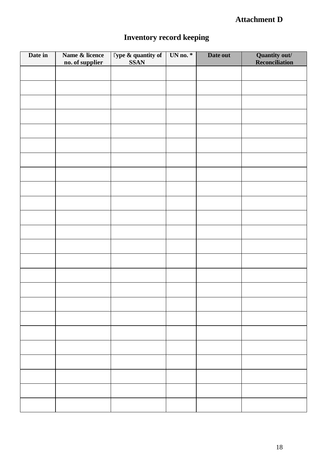## **Attachment D**

# **Inventory record keeping**

| Date in | Name & licence<br>no. of supplier | <b>Type &amp; quantity of</b><br>SSAN | UN no. $*$ | Date out | <b>Quantity out/</b><br><b>Reconciliation</b> |
|---------|-----------------------------------|---------------------------------------|------------|----------|-----------------------------------------------|
|         |                                   |                                       |            |          |                                               |
|         |                                   |                                       |            |          |                                               |
|         |                                   |                                       |            |          |                                               |
|         |                                   |                                       |            |          |                                               |
|         |                                   |                                       |            |          |                                               |
|         |                                   |                                       |            |          |                                               |
|         |                                   |                                       |            |          |                                               |
|         |                                   |                                       |            |          |                                               |
|         |                                   |                                       |            |          |                                               |
|         |                                   |                                       |            |          |                                               |
|         |                                   |                                       |            |          |                                               |
|         |                                   |                                       |            |          |                                               |
|         |                                   |                                       |            |          |                                               |
|         |                                   |                                       |            |          |                                               |
|         |                                   |                                       |            |          |                                               |
|         |                                   |                                       |            |          |                                               |
|         |                                   |                                       |            |          |                                               |
|         |                                   |                                       |            |          |                                               |
|         |                                   |                                       |            |          |                                               |
|         |                                   |                                       |            |          |                                               |
|         |                                   |                                       |            |          |                                               |
|         |                                   |                                       |            |          |                                               |
|         |                                   |                                       |            |          |                                               |
|         |                                   |                                       |            |          |                                               |